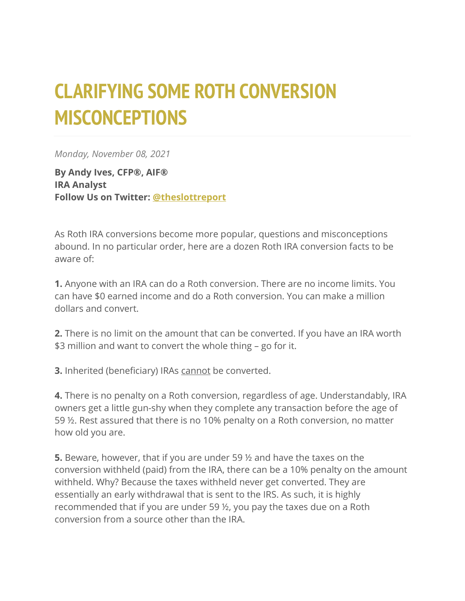## **CLARIFYING SOME ROTH CONVERSION MISCONCEPTIONS**

*Monday, November 08, 2021*

**By Andy Ives, CFP®, AIF® IRA Analyst Follow Us on Twitter: [@theslottreport](https://twitter.com/theslottreport)**

As Roth IRA conversions become more popular, questions and misconceptions abound. In no particular order, here are a dozen Roth IRA conversion facts to be aware of:

**1.** Anyone with an IRA can do a Roth conversion. There are no income limits. You can have \$0 earned income and do a Roth conversion. You can make a million dollars and convert.

**2.** There is no limit on the amount that can be converted. If you have an IRA worth \$3 million and want to convert the whole thing – go for it.

**3.** Inherited (beneficiary) IRAs cannot be converted.

**4.** There is no penalty on a Roth conversion, regardless of age. Understandably, IRA owners get a little gun-shy when they complete any transaction before the age of 59 ½. Rest assured that there is no 10% penalty on a Roth conversion, no matter how old you are.

**5.** Beware, however, that if you are under 59 ½ and have the taxes on the conversion withheld (paid) from the IRA, there can be a 10% penalty on the amount withheld. Why? Because the taxes withheld never get converted. They are essentially an early withdrawal that is sent to the IRS. As such, it is highly recommended that if you are under 59 ½, you pay the taxes due on a Roth conversion from a source other than the IRA.